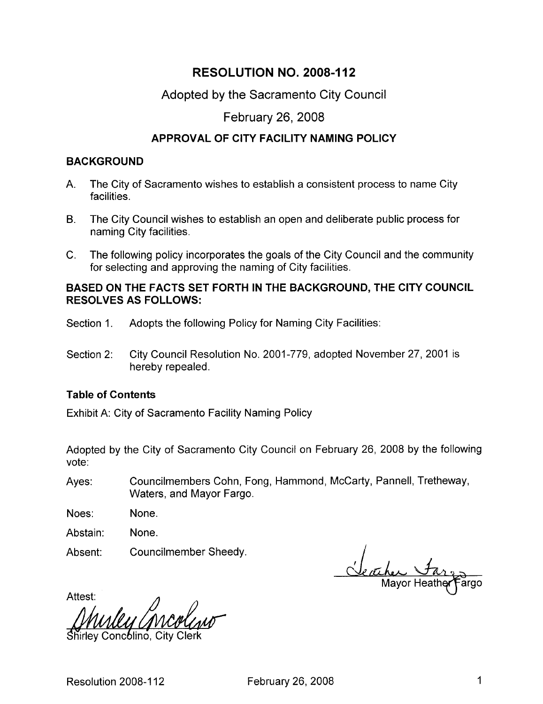# RESOLUTION NO. 2008-112

## Adopted by the Sacramento City Council

## February 26 2008

## APPROVAL OF CITY FACILITY NAMING POLICY

### **BACKGROUND**

- A. The City of Sacramento wishes to establish a consistent process to name City facilities
- B. The City Council wishes to establish an open and deliberate public process for naming City facilities
- C. The following policy incorporates the goals of the City Council and the community for selecting and approving the naming of City facilities

### BASED ON THE FACTS SET FORTH IN THE BACKGROUND, THE CITY COUNCIL RESOLVES AS FOLLOWS

- Section 1. Adopts the following Policy for Naming City Facilities:
- Section 2: City Council Resolution No. 2001-779, adopted November 27, 2001 is hereby repealed

## Table of Contents

Exhibit A: City of Sacramento Facility Naming Policy

Adopted by the City of Sacramento City Council on February 26, 2008 by the following vote

Ayes: Councilmembers Cohn, Fong, Hammond, McCarty, Pannell, Tretheway, Waters, and Mayor Fargo.

None Noes

None Abstain

Councilmember Sheedy Absent

argo

Attest:

Shirley Concolino, City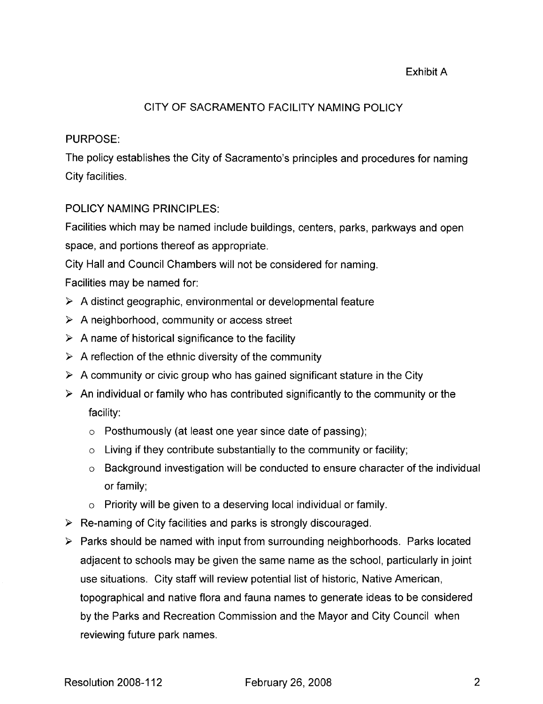## Exhibit A

### CITY OF SACRAMENTO FACILITY NAMING POLICY

#### PURPOSE

The policy establishes the City of Sacramento's principles and procedures for naming City facilities

#### POLICY NAMING PRINCIPLES

Facilities which may be named include buildings, centers, parks, parkways and open space, and portions thereof as appropriate.

City Hall and Council Chambers will not be considered for naming

Facilities may be named for

- $\triangleright$  A distinct geographic, environmental or developmental feature
- $\triangleright$  A neighborhood, community or access street
- $\triangleright$  A name of historical significance to the facility
- $\triangleright$  A reflection of the ethnic diversity of the community
- $\triangleright$  A community or civic group who has gained significant stature in the City
- $\triangleright$  An individual or family who has contributed significantly to the community or the facility
	- $\circ$  Posthumously (at least one year since date of passing);
	- $\circ$  Living if they contribute substantially to the community or facility;
	- o Background investigation will be conducted to ensure character of the individual or family
	- $\circ$  Priority will be given to a deserving local individual or family.
- $\triangleright$  Re-naming of City facilities and parks is strongly discouraged.
- $\triangleright$  Parks should be named with input from surrounding neighborhoods. Parks located adjacent to schools may be given the same name as the school, particularly in joint use situations. City staff will review potential list of historic, Native American, topographical and native flora and fauna names to generate ideas to be considered by the Parks and Recreation Commission and the Mayor and City Council when reviewing future park names.